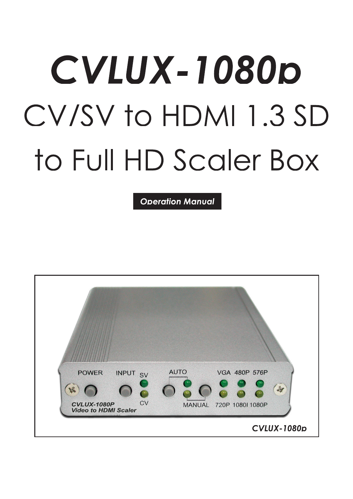# CVLUX-1080p CV/SV to HDMI 1.3 SD to Full HD Scaler Box

**Operation Manual** 

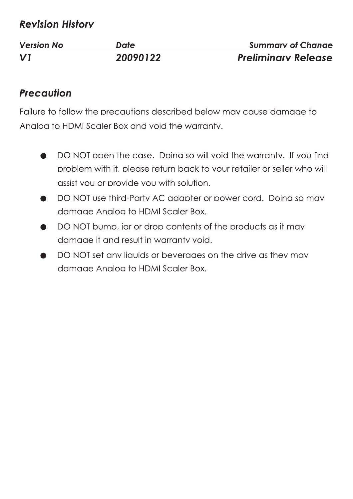## **Revision History**

| <b>Version No</b> | Date     | <b>Summary of Change</b>   |
|-------------------|----------|----------------------------|
| $\mathbf{V}$      | 20090122 | <b>Preliminary Release</b> |

#### **Precaution**

Failure to follow the precautions described below may cause damage to Analog to HDMI Scaler Box and void the warranty.

- DO NOT open the case. Doing so will void the warranty. If you find problem with it, please return back to your retailer or seller who will assist you or provide you with solution.
- DO NOT use third-Party AC adapter or power cord. Doing so may damage Anglog to HDMI Scaler Box.
- DO NOT bump, jar or drop contents of the products as it may damage it and result in warranty void.
- DO NOT set any liquids or beverages on the drive as they may damage Anglog to HDMI Scaler Box.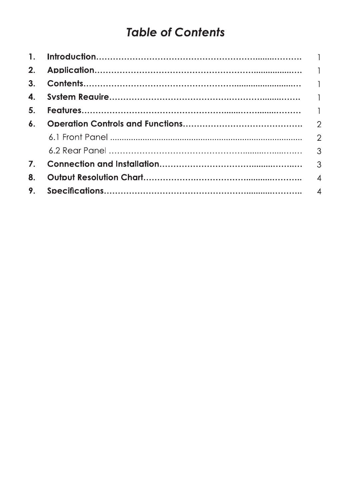# **Table of Contents**

| 3. |  |
|----|--|
|    |  |
| 5. |  |
|    |  |
|    |  |
|    |  |
|    |  |
| 8. |  |
| 9. |  |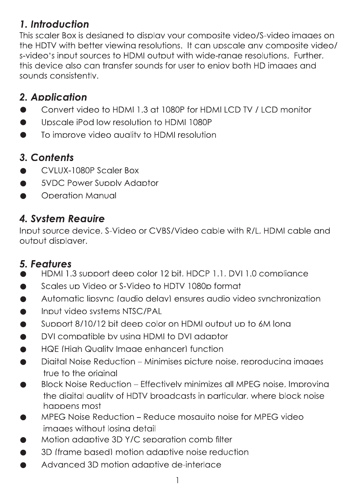## 1. Introduction

This scaler Box is desianed to display your composite video/S-video images on the HDTV with better viewing resolutions. It can upscale any composite video/ s-video's input sources to HDMI output with wide-range resolutions. Further, this device also can transfer sounds for user to enjoy both HD images and sounds consistently.

## 2. Application

- Convert video to HDML1.3 at 1080P for HDMLLCD TV / LCD monitor
- Upscale iPod low resolution to HDMI 1080P
- To improve video quality to HDMI resolution

#### 3. Contents

- CVLUX-1080P Scaler Box
- **5VDC Power Supply Adaptor**
- **Operation Manual**

## 4. System Require

Input source device, S-Video or CVBS/Video cable with R/L, HDML cable and output displayer.

#### **5. Features**

- HDMI 1.3 support deep color 12 bit, HDCP 1.1, DVI 1.0 compliance
- Scales up Video or S-Video to HDTV 1080p format
- Automatic lipsync (qudio delay) ensures audio video synchronization
- Input video systems NTSC/PAL
- Support 8/10/12 bit deep color on HDMI output up to 6M long
- DVI compatible by using HDMI to DVI adaptor
- HQE (High Quality Image enhancer) function
- Digital Noise Reduction Minimises picture noise, reproducing images true to the original
- Block Noise Reduction Effectively minimizes all MPFG noise, Improving the digital quality of HDTV broadcasts in particular, where block noise happens most
- MPEG Noise Reduction Reduce mosquito noise for MPEG video images without losing detail
- Motion adaptive 3D Y/C separation comb filter
- 3D (frame based) motion adaptive noise reduction
- Advanced 3D motion adaptive de-interlace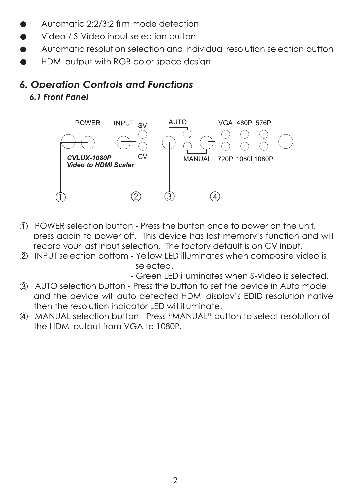- Automatic 2:2/3:2 film mode detection
- Video / S-Video input selection button
- Automatic resolution selection and individual resolution selection button
- HDMI output with RGB color space design

## **6. Operation Controls and Functions**

6.1 Front Panel



- (1) POWER selection button Press the button once to power on the unit. press again to power off. This device has last memory's function and will record your last input selection. The factory default is on CV input.
- 2 INPUT selection bottom Yellow LED illuminates when composite video is selected.

- Green LED illuminates when S-Video is selected.

- 3 AUTO selection button Press the button to set the device in Auto mode and the device will auto detected HDMI display's EDID resolution native then the resolution indicator LED will illuminate.
- 4 MANUAL selection button Press "MANUAL" button to select resolution of the HDMI output from VGA to 1080P.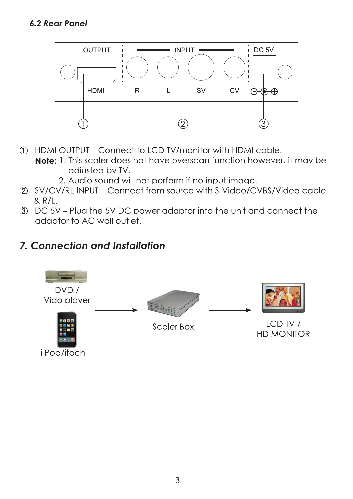#### **6.2 Rear Panel**



- 1) HDMI OUTPUT Connect to LCD TV/monitor with HDMI cable. **Note:** 1. This scaler does not have overscan function however, it may be adiusted by TV.
	- 2. Audio sound will not perform if no input image.
- 2 SV/CV/RL INPUT Connect from source with S-Video/CVBS/Video cable  $& R/L.$
- 3 DC 5V Plua the 5V DC power adaptor into the unit and connect the adaptor to AC wall outlet.

#### **7. Connection and Installation**

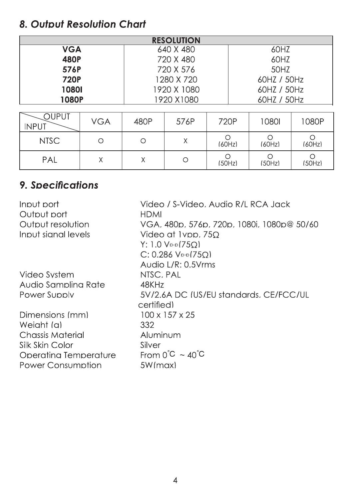## 8. Output Resolution Chart

| <b>8. Output Resolution Chart</b> |            |                           |                                |                      |             |                   |                      |  |  |
|-----------------------------------|------------|---------------------------|--------------------------------|----------------------|-------------|-------------------|----------------------|--|--|
| <b>VGA</b>                        |            |                           | <b>RESOLUTION</b><br>640 X 480 |                      |             | 60HZ              |                      |  |  |
| <b>480P</b>                       |            | 720 X 480                 |                                |                      | 60HZ        |                   |                      |  |  |
| 576P                              |            | 720 X 576                 |                                |                      | 50HZ        |                   |                      |  |  |
| <b>720P</b>                       |            | 1280 X 720                |                                |                      | 60HZ / 50Hz |                   |                      |  |  |
| 10801                             |            | 1920 X 1080               |                                |                      | 60HZ / 50Hz |                   |                      |  |  |
| <b>1080P</b>                      |            | 1920 X1080<br>60HZ / 50Hz |                                |                      |             |                   |                      |  |  |
|                                   |            |                           |                                |                      |             |                   |                      |  |  |
| <b>OUPUT</b><br><b>INPUT</b>      | <b>VGA</b> | 480P                      | 576P                           | 720P                 |             | 10801             | 1080P                |  |  |
| <b>NTSC</b>                       | $\circ$    | $\bigcirc$                | $\chi$                         | $\circ$<br>(60Hz)    |             | $\circ$<br>(60Hz) | $\circ$<br>(60Hz)    |  |  |
| PAL                               | $\times$   | $\sf X$                   | $\bigcirc$                     | $\bigcirc$<br>(50Hz) |             | $\circ$<br>(50Hz) | $\bigcirc$<br>(50Hz) |  |  |

# 9. Specifications

| Input port<br>Output port | Video / S-Video, Audio R/L RCA Jack<br><b>HDMI</b> |
|---------------------------|----------------------------------------------------|
| Output resolution         | VGA, 480p, 576p, 720p, 1080i, 1080p@ 50/60         |
| Input sianal levels       | Video at Ivpp, 750                                 |
|                           | $Y: 1.0 V_{p-p}(75Q)$                              |
|                           | $C: 0.286$ V <sub>p-p</sub> $(75Ω)$                |
|                           | Audio L/R: 0.5 Vrms                                |
| Video System              | NTSC, PAL                                          |
| Audio Samplina Rate       | 48KHz                                              |
| Power Supply              | 5V/2.6A DC (US/EU standards, CE/FCC/UL             |
|                           | certified)                                         |
| Dimensions (mm)           | $100 \times 157 \times 25$                         |
| Weiaht (a)                | 332                                                |
| <b>Chassis Material</b>   | Aluminum                                           |
| Silk Skin Color           | Silver                                             |
| Operating Temperature     | From $0^{\circ}C \sim 40^{\circ}C$                 |
| <b>Power Consumption</b>  | 5W(max)                                            |